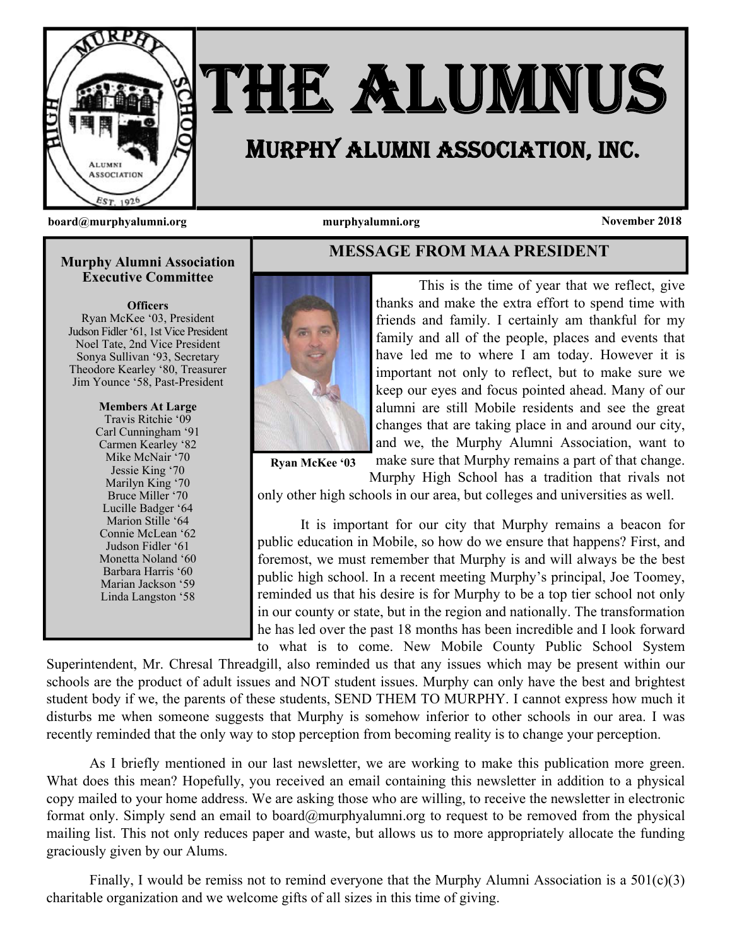

# THE ALUMNUS

## MURPHY ALUMNI ASSOCIATION, INC.

**board@murphyalumni.org murphyalumni.org November 2018** 

#### **Murphy Alumni Association Executive Committee**

**Officers** 

Ryan McKee '03, President Judson Fidler '61, 1st Vice President Noel Tate, 2nd Vice President Sonya Sullivan '93, Secretary Theodore Kearley '80, Treasurer Jim Younce '58, Past-President

> **Members At Large**  Travis Ritchie '09 Carl Cunningham '91 Carmen Kearley '82 Mike McNair '70 Jessie King '70 Marilyn King '70 Bruce Miller '70 Lucille Badger '64 Marion Stille '64 Connie McLean '62 Judson Fidler '61 Monetta Noland '60 Barbara Harris '60 Marian Jackson '59 Linda Langston '58



**MESSAGE FROM MAA PRESIDENT** 

 This is the time of year that we reflect, give thanks and make the extra effort to spend time with friends and family. I certainly am thankful for my family and all of the people, places and events that have led me to where I am today. However it is important not only to reflect, but to make sure we keep our eyes and focus pointed ahead. Many of our alumni are still Mobile residents and see the great changes that are taking place in and around our city, and we, the Murphy Alumni Association, want to make sure that Murphy remains a part of that change.

**Ryan McKee '03** 

Murphy High School has a tradition that rivals not only other high schools in our area, but colleges and universities as well.

 It is important for our city that Murphy remains a beacon for public education in Mobile, so how do we ensure that happens? First, and foremost, we must remember that Murphy is and will always be the best public high school. In a recent meeting Murphy's principal, Joe Toomey, reminded us that his desire is for Murphy to be a top tier school not only in our county or state, but in the region and nationally. The transformation he has led over the past 18 months has been incredible and I look forward to what is to come. New Mobile County Public School System

Superintendent, Mr. Chresal Threadgill, also reminded us that any issues which may be present within our schools are the product of adult issues and NOT student issues. Murphy can only have the best and brightest student body if we, the parents of these students, SEND THEM TO MURPHY. I cannot express how much it disturbs me when someone suggests that Murphy is somehow inferior to other schools in our area. I was recently reminded that the only way to stop perception from becoming reality is to change your perception.

 As I briefly mentioned in our last newsletter, we are working to make this publication more green. What does this mean? Hopefully, you received an email containing this newsletter in addition to a physical copy mailed to your home address. We are asking those who are willing, to receive the newsletter in electronic format only. Simply send an email to board@murphyalumni.org to request to be removed from the physical mailing list. This not only reduces paper and waste, but allows us to more appropriately allocate the funding graciously given by our Alums.

 Finally, I would be remiss not to remind everyone that the Murphy Alumni Association is a 501(c)(3) charitable organization and we welcome gifts of all sizes in this time of giving.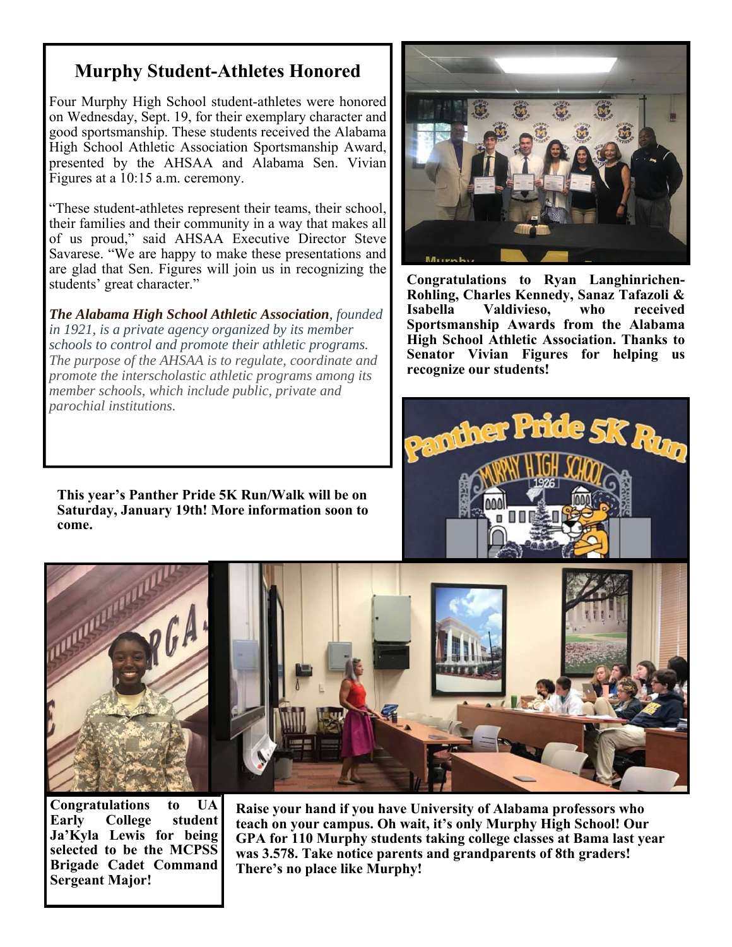#### **Murphy Student-Athletes Honored**

Four Murphy High School student-athletes were honored on Wednesday, Sept. 19, for their exemplary character and good sportsmanship. These students received the Alabama High School Athletic Association Sportsmanship Award, presented by the AHSAA and Alabama Sen. Vivian Figures at a 10:15 a.m. ceremony.

"These student-athletes represent their teams, their school, their families and their community in a way that makes all of us proud," said AHSAA Executive Director Steve Savarese. "We are happy to make these presentations and are glad that Sen. Figures will join us in recognizing the students' great character."

*The Alabama High School Athletic Association, founded in 1921, is a private agency organized by its member schools to control and promote their athletic programs. The purpose of the AHSAA is to regulate, coordinate and promote the interscholastic athletic programs among its member schools, which include public, private and parochial institutions.* 

**This year's Panther Pride 5K Run/Walk will be on Saturday, January 19th! More information soon to come.** 



**Congratulations to Ryan Langhinrichen-Rohling, Charles Kennedy, Sanaz Tafazoli & Isabella Valdivieso, who received Sportsmanship Awards from the Alabama High School Athletic Association. Thanks to Senator Vivian Figures for helping us recognize our students!** 





**Congratulations to UA Early College student Ja'Kyla Lewis for being selected to be the MCPSS Brigade Cadet Command Sergeant Major!** 

**Raise your hand if you have University of Alabama professors who teach on your campus. Oh wait, it's only Murphy High School! Our GPA for 110 Murphy students taking college classes at Bama last year was 3.578. Take notice parents and grandparents of 8th graders! There's no place like Murphy!**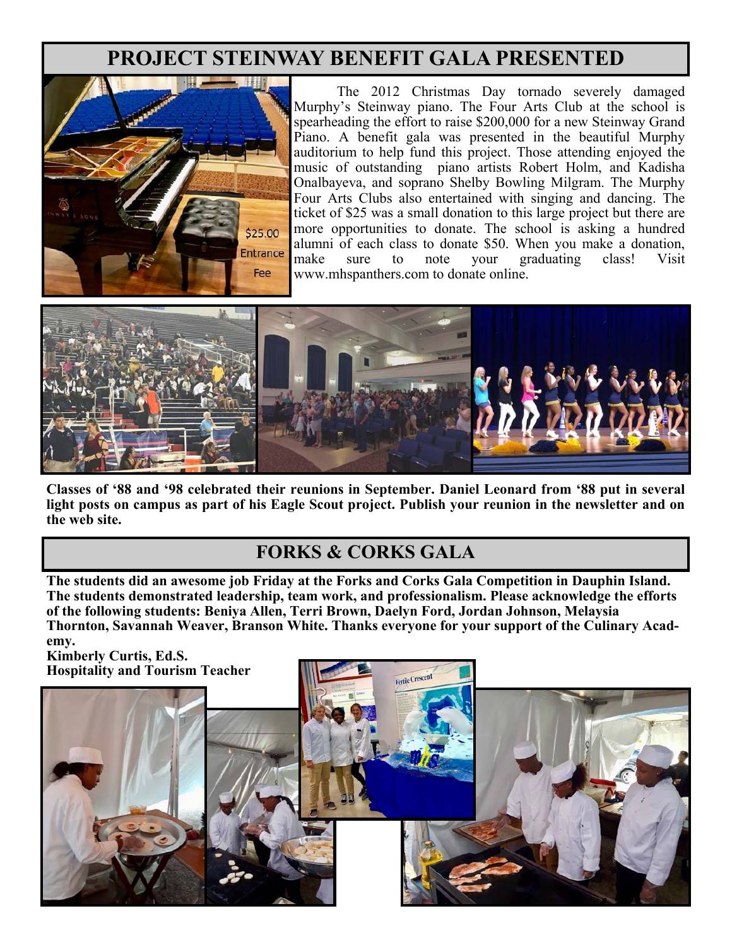### **PROJECT STEINWAY BENEFIT GALA PRESENTED**



 The 2012 Christmas Day tornado severely damaged Murphy's Steinway piano. The Four Arts Club at the school is spearheading the effort to raise \$200,000 for a new Steinway Grand Piano. A benefit gala was presented in the beautiful Murphy auditorium to help fund this project. Those attending enjoyed the music of outstanding piano artists Robert Holm, and Kadisha Onalbayeva, and soprano Shelby Bowling Milgram. The Murphy Four Arts Clubs also entertained with singing and dancing. The ticket of \$25 was a small donation to this large project but there are more opportunities to donate. The school is asking a hundred alumni of each class to donate \$50. When you make a donation, make sure to note your graduating class! Visit www.mhspanthers.com to donate online.



**Classes of '88 and '98 celebrated their reunions in September. Daniel Leonard from '88 put in several light posts on campus as part of his Eagle Scout project. Publish your reunion in the newsletter and on the web site.** 

#### **FORKS & CORKS GALA**

**The students did an awesome job Friday at the Forks and Corks Gala Competition in Dauphin Island. The students demonstrated leadership, team work, and professionalism. Please acknowledge the efforts of the following students: Beniya Allen, Terri Brown, Daelyn Ford, Jordan Johnson, Melaysia Thornton, Savannah Weaver, Branson White. Thanks everyone for your support of the Culinary Academy.** 

**Kimberly Curtis, Ed.S. Hospitality and Tourism Teacher**